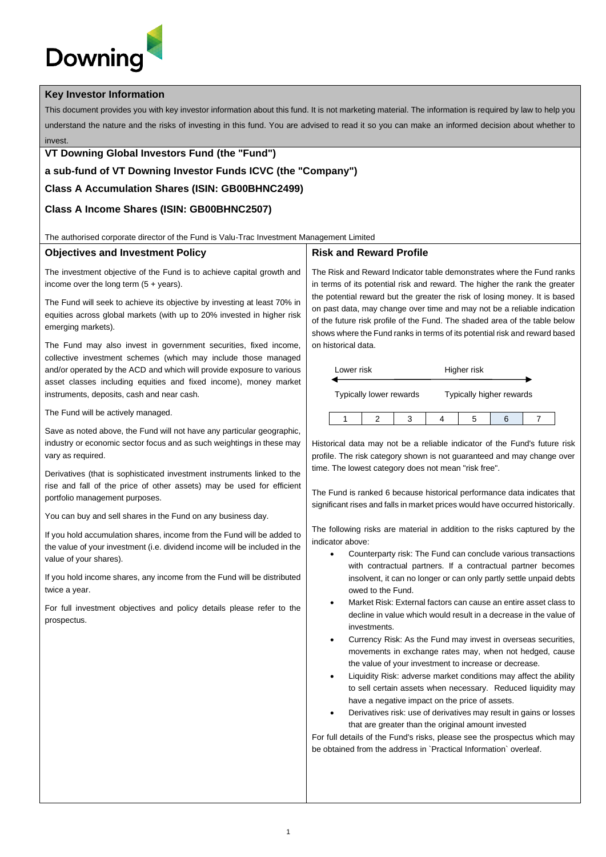# **Downinc**

#### **Key Investor Information**

This document provides you with key investor information about this fund. It is not marketing material. The information is required by law to help you understand the nature and the risks of investing in this fund. You are advised to read it so you can make an informed decision about whether to invest.

### **VT Downing Global Investors Fund (the "Fund")**

## **a sub-fund of VT Downing Investor Funds ICVC (the "Company")**

## **Class A Accumulation Shares (ISIN: GB00BHNC2499)**

## **Class A Income Shares (ISIN: GB00BHNC2507)**

The authorised corporate director of the Fund is Valu-Trac Investment Management Limited

#### **Objectives and Investment Policy**

The investment objective of the Fund is to achieve capital growth and income over the long term  $(5 + \text{years})$ .

The Fund will seek to achieve its objective by investing at least 70% in equities across global markets (with up to 20% invested in higher risk emerging markets).

The Fund may also invest in government securities, fixed income, collective investment schemes (which may include those managed and/or operated by the ACD and which will provide exposure to various asset classes including equities and fixed income), money market instruments, deposits, cash and near cash.

The Fund will be actively managed.

Save as noted above, the Fund will not have any particular geographic, industry or economic sector focus and as such weightings in these may vary as required.

Derivatives (that is sophisticated investment instruments linked to the rise and fall of the price of other assets) may be used for efficient portfolio management purposes.

You can buy and sell shares in the Fund on any business day.

If you hold accumulation shares, income from the Fund will be added to the value of your investment (i.e. dividend income will be included in the value of your shares).

If you hold income shares, any income from the Fund will be distributed twice a year.

For full investment objectives and policy details please refer to the prospectus.

## **Risk and Reward Profile**

The Risk and Reward Indicator table demonstrates where the Fund ranks in terms of its potential risk and reward. The higher the rank the greater the potential reward but the greater the risk of losing money. It is based on past data, may change over time and may not be a reliable indication of the future risk profile of the Fund. The shaded area of the table below shows where the Fund ranks in terms of its potential risk and reward based on historical data.

| Lower risk              |  |  | Higher risk              |  |  |  |
|-------------------------|--|--|--------------------------|--|--|--|
| Typically lower rewards |  |  | Typically higher rewards |  |  |  |
|                         |  |  |                          |  |  |  |

Historical data may not be a reliable indicator of the Fund's future risk profile. The risk category shown is not guaranteed and may change over time. The lowest category does not mean "risk free".

The Fund is ranked 6 because historical performance data indicates that significant rises and falls in market prices would have occurred historically.

The following risks are material in addition to the risks captured by the indicator above:

- Counterparty risk: The Fund can conclude various transactions with contractual partners. If a contractual partner becomes insolvent, it can no longer or can only partly settle unpaid debts owed to the Fund.
- Market Risk: External factors can cause an entire asset class to decline in value which would result in a decrease in the value of investments.
- Currency Risk: As the Fund may invest in overseas securities, movements in exchange rates may, when not hedged, cause the value of your investment to increase or decrease.
- Liquidity Risk: adverse market conditions may affect the ability to sell certain assets when necessary. Reduced liquidity may have a negative impact on the price of assets.
- Derivatives risk: use of derivatives may result in gains or losses that are greater than the original amount invested

For full details of the Fund's risks, please see the prospectus which may be obtained from the address in `Practical Information` overleaf.